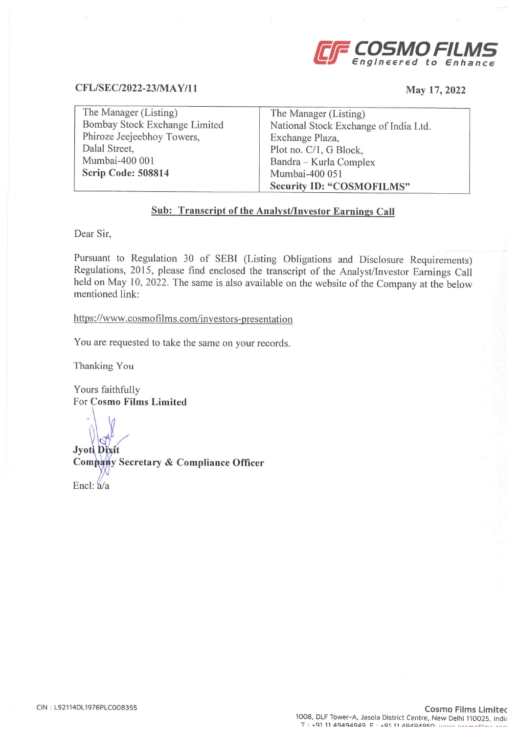

## CFL/SEC/2022-23/MAY/11

### May 17, 2022

| The Manager (Listing)         | The Manager (Listing)                 |
|-------------------------------|---------------------------------------|
| Bombay Stock Exchange Limited | National Stock Exchange of India Ltd. |
| Phiroze Jeejeebhoy Towers,    | Exchange Plaza,                       |
| Dalal Street,                 | Plot no. C/1, G Block,                |
| Mumbai-400 001                | Bandra - Kurla Complex                |
| Scrip Code: 508814            | Mumbai-400 051                        |
|                               | <b>Security ID: "COSMOFILMS"</b>      |

## Sub: Transcript of the Analyst/Investor Earnings Call

Dear Sir,

Pursuant to Regulation 30 of SEBI (Listing Obligations and Disclosure Requirements)<br>Regulations, 2015, please find enclosed the transcript of the Analyst/Investor Earnings Call<br>held on May 10, 2022. The same is also availa mentioned link:

https://www.cosmofilms.com/investors-presentation

You are requested to take the same on your records.

Thanking You

Yours faithfully For Cosmo Films Limited

Jyoti Dixit

Company Secretary & Compliance Officer

Encl:  $a/a$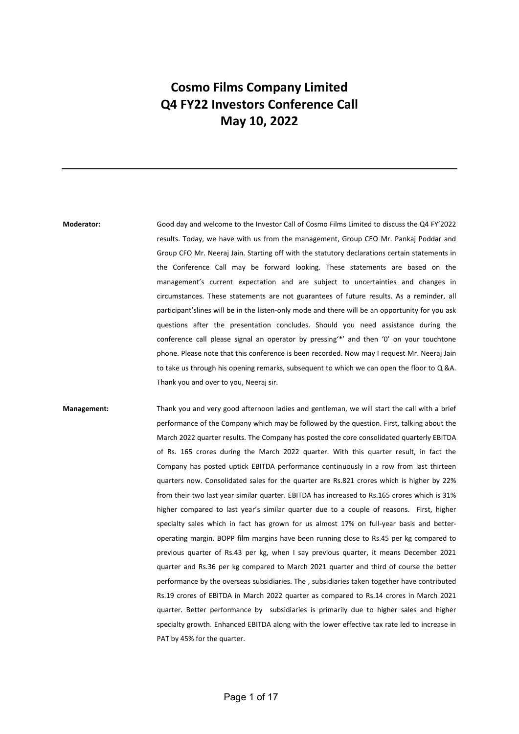# Cosmo Films Company Limited Q4 FY22 Investors Conference Call May 10, 2022

Moderator: Good day and welcome to the Investor Call of Cosmo Films Limited to discuss the Q4 FY'2022 results. Today, we have with us from the management, Group CEO Mr. Pankaj Poddar and Group CFO Mr. Neeraj Jain. Starting off with the statutory declarations certain statements in the Conference Call may be forward looking. These statements are based on the management's current expectation and are subject to uncertainties and changes in circumstances. These statements are not guarantees of future results. As a reminder, all participant'slines will be in the listen-only mode and there will be an opportunity for you ask questions after the presentation concludes. Should you need assistance during the conference call please signal an operator by pressing'\*' and then '0' on your touchtone phone. Please note that this conference is been recorded. Now may I request Mr. Neeraj Jain to take us through his opening remarks, subsequent to which we can open the floor to Q &A. Thank you and over to you, Neeraj sir.

Management: Thank you and very good afternoon ladies and gentleman, we will start the call with a brief performance of the Company which may be followed by the question. First, talking about the March 2022 quarter results. The Company has posted the core consolidated quarterly EBITDA of Rs. 165 crores during the March 2022 quarter. With this quarter result, in fact the Company has posted uptick EBITDA performance continuously in a row from last thirteen quarters now. Consolidated sales for the quarter are Rs.821 crores which is higher by 22% from their two last year similar quarter. EBITDA has increased to Rs.165 crores which is 31% higher compared to last year's similar quarter due to a couple of reasons. First, higher specialty sales which in fact has grown for us almost 17% on full-year basis and betteroperating margin. BOPP film margins have been running close to Rs.45 per kg compared to previous quarter of Rs.43 per kg, when I say previous quarter, it means December 2021 quarter and Rs.36 per kg compared to March 2021 quarter and third of course the better performance by the overseas subsidiaries. The , subsidiaries taken together have contributed Rs.19 crores of EBITDA in March 2022 quarter as compared to Rs.14 crores in March 2021 quarter. Better performance by subsidiaries is primarily due to higher sales and higher specialty growth. Enhanced EBITDA along with the lower effective tax rate led to increase in PAT by 45% for the quarter.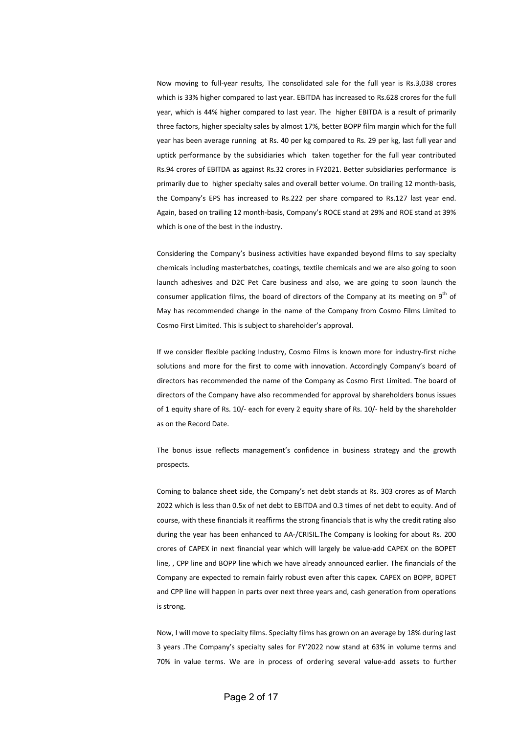Now moving to full-year results, The consolidated sale for the full year is Rs.3,038 crores which is 33% higher compared to last year. EBITDA has increased to Rs.628 crores for the full year, which is 44% higher compared to last year. The higher EBITDA is a result of primarily three factors, higher specialty sales by almost 17%, better BOPP film margin which for the full year has been average running at Rs. 40 per kg compared to Rs. 29 per kg, last full year and uptick performance by the subsidiaries which taken together for the full year contributed Rs.94 crores of EBITDA as against Rs.32 crores in FY2021. Better subsidiaries performance is primarily due to higher specialty sales and overall better volume. On trailing 12 month-basis, the Company's EPS has increased to Rs.222 per share compared to Rs.127 last year end. Again, based on trailing 12 month-basis, Company's ROCE stand at 29% and ROE stand at 39% which is one of the best in the industry.

Considering the Company's business activities have expanded beyond films to say specialty chemicals including masterbatches, coatings, textile chemicals and we are also going to soon launch adhesives and D2C Pet Care business and also, we are going to soon launch the consumer application films, the board of directors of the Company at its meeting on  $9<sup>th</sup>$  of May has recommended change in the name of the Company from Cosmo Films Limited to Cosmo First Limited. This is subject to shareholder's approval.

If we consider flexible packing Industry, Cosmo Films is known more for industry-first niche solutions and more for the first to come with innovation. Accordingly Company's board of directors has recommended the name of the Company as Cosmo First Limited. The board of directors of the Company have also recommended for approval by shareholders bonus issues of 1 equity share of Rs. 10/- each for every 2 equity share of Rs. 10/- held by the shareholder as on the Record Date.

The bonus issue reflects management's confidence in business strategy and the growth prospects.

Coming to balance sheet side, the Company's net debt stands at Rs. 303 crores as of March 2022 which is less than 0.5x of net debt to EBITDA and 0.3 times of net debt to equity. And of course, with these financials it reaffirms the strong financials that is why the credit rating also during the year has been enhanced to AA-/CRISIL.The Company is looking for about Rs. 200 crores of CAPEX in next financial year which will largely be value-add CAPEX on the BOPET line, , CPP line and BOPP line which we have already announced earlier. The financials of the Company are expected to remain fairly robust even after this capex. CAPEX on BOPP, BOPET and CPP line will happen in parts over next three years and, cash generation from operations is strong.

Now, I will move to specialty films. Specialty films has grown on an average by 18% during last 3 years .The Company's specialty sales for FY'2022 now stand at 63% in volume terms and 70% in value terms. We are in process of ordering several value-add assets to further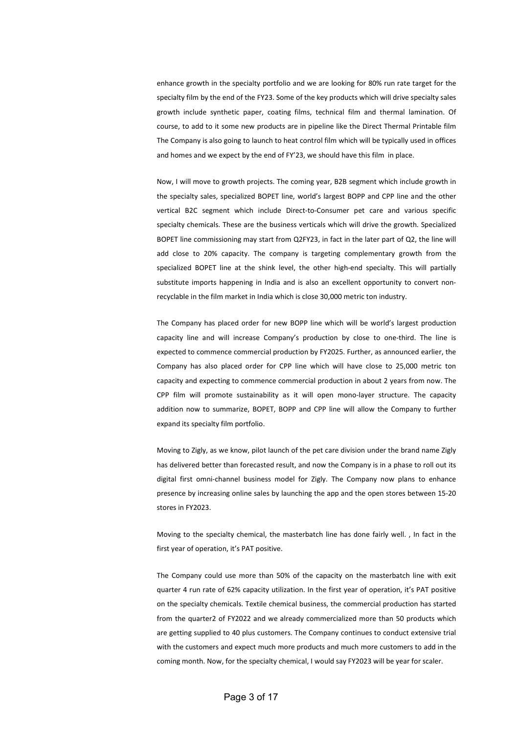enhance growth in the specialty portfolio and we are looking for 80% run rate target for the specialty film by the end of the FY23. Some of the key products which will drive specialty sales growth include synthetic paper, coating films, technical film and thermal lamination. Of course, to add to it some new products are in pipeline like the Direct Thermal Printable film The Company is also going to launch to heat control film which will be typically used in offices and homes and we expect by the end of FY'23, we should have this film in place.

Now, I will move to growth projects. The coming year, B2B segment which include growth in the specialty sales, specialized BOPET line, world's largest BOPP and CPP line and the other vertical B2C segment which include Direct-to-Consumer pet care and various specific specialty chemicals. These are the business verticals which will drive the growth. Specialized BOPET line commissioning may start from Q2FY23, in fact in the later part of Q2, the line will add close to 20% capacity. The company is targeting complementary growth from the specialized BOPET line at the shink level, the other high-end specialty. This will partially substitute imports happening in India and is also an excellent opportunity to convert nonrecyclable in the film market in India which is close 30,000 metric ton industry.

The Company has placed order for new BOPP line which will be world's largest production capacity line and will increase Company's production by close to one-third. The line is expected to commence commercial production by FY2025. Further, as announced earlier, the Company has also placed order for CPP line which will have close to 25,000 metric ton capacity and expecting to commence commercial production in about 2 years from now. The CPP film will promote sustainability as it will open mono-layer structure. The capacity addition now to summarize, BOPET, BOPP and CPP line will allow the Company to further expand its specialty film portfolio.

Moving to Zigly, as we know, pilot launch of the pet care division under the brand name Zigly has delivered better than forecasted result, and now the Company is in a phase to roll out its digital first omni-channel business model for Zigly. The Company now plans to enhance presence by increasing online sales by launching the app and the open stores between 15-20 stores in FY2023.

Moving to the specialty chemical, the masterbatch line has done fairly well. , In fact in the first year of operation, it's PAT positive.

The Company could use more than 50% of the capacity on the masterbatch line with exit quarter 4 run rate of 62% capacity utilization. In the first year of operation, it's PAT positive on the specialty chemicals. Textile chemical business, the commercial production has started from the quarter2 of FY2022 and we already commercialized more than 50 products which are getting supplied to 40 plus customers. The Company continues to conduct extensive trial with the customers and expect much more products and much more customers to add in the coming month. Now, for the specialty chemical, I would say FY2023 will be year for scaler.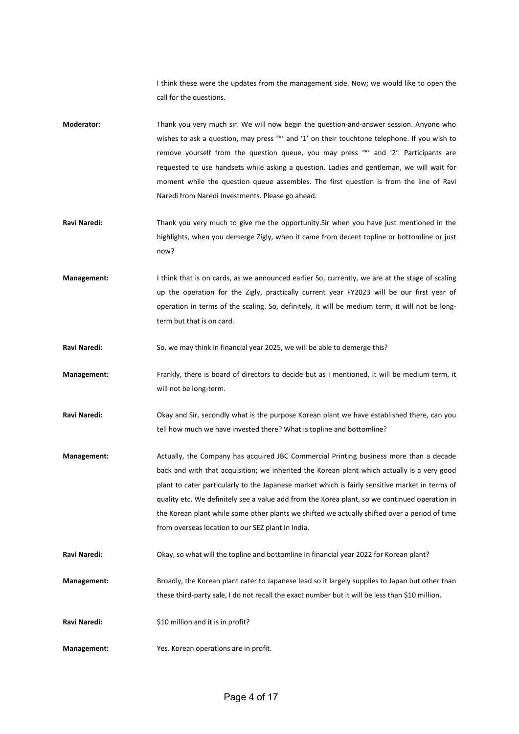I think these were the updates from the management side. Now; we would like to open the call for the questions.

- Moderator: Thank you very much sir. We will now begin the question-and-answer session. Anyone who wishes to ask a question, may press '\*' and '1' on their touchtone telephone. If you wish to remove yourself from the question queue, you may press '\*' and '2'. Participants are requested to use handsets while asking a question. Ladies and gentleman, we will wait for moment while the question queue assembles. The first question is from the line of Ravi Naredi from Naredi Investments. Please go ahead.
- Ravi Naredi: Thank you very much to give me the opportunity. Sir when you have just mentioned in the highlights, when you demerge Zigly, when it came from decent topline or bottomline or just now?
- Management: I think that is on cards, as we announced earlier So, currently, we are at the stage of scaling up the operation for the Zigly, practically current year FY2023 will be our first year of operation in terms of the scaling. So, definitely, it will be medium term, it will not be longterm but that is on card.
- Ravi Naredi: So, we may think in financial year 2025, we will be able to demerge this?
- Management: Frankly, there is board of directors to decide but as I mentioned, it will be medium term, it will not be long-term.
- Ravi Naredi: Okay and Sir, secondly what is the purpose Korean plant we have established there, can you tell how much we have invested there? What is topline and bottomline?
- Management: Actually, the Company has acquired JBC Commercial Printing business more than a decade back and with that acquisition; we inherited the Korean plant which actually is a very good plant to cater particularly to the Japanese market which is fairly sensitive market in terms of quality etc. We definitely see a value add from the Korea plant, so we continued operation in the Korean plant while some other plants we shifted we actually shifted over a period of time from overseas location to our SEZ plant in India.
- Ravi Naredi: Okay, so what will the topline and bottomline in financial year 2022 for Korean plant?
- Management: Broadly, the Korean plant cater to Japanese lead so it largely supplies to Japan but other than these third-party sale, I do not recall the exact number but it will be less than \$10 million.
- Ravi Naredi:  $\frac{1}{2}$  S10 million and it is in profit?
- Management: Yes. Korean operations are in profit.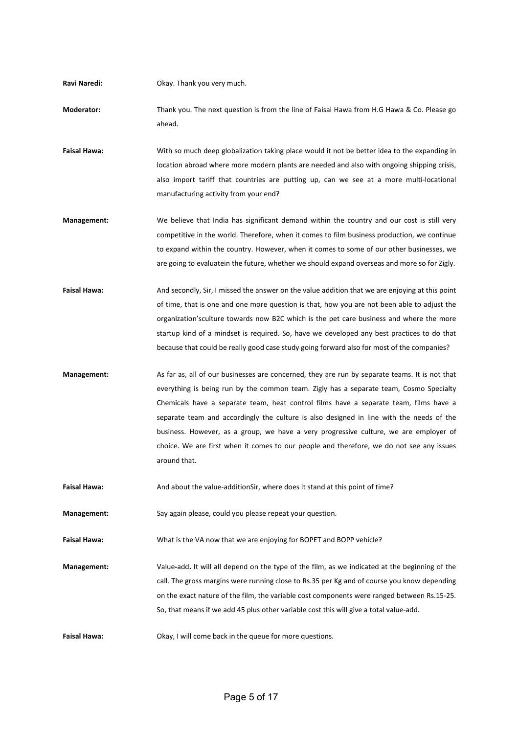Ravi Naredi: Okay. Thank you very much.

Moderator: Thank you. The next question is from the line of Faisal Hawa from H.G Hawa & Co. Please go ahead.

Faisal Hawa: With so much deep globalization taking place would it not be better idea to the expanding in location abroad where more modern plants are needed and also with ongoing shipping crisis, also import tariff that countries are putting up, can we see at a more multi-locational manufacturing activity from your end?

- Management: We believe that India has significant demand within the country and our cost is still very competitive in the world. Therefore, when it comes to film business production, we continue to expand within the country. However, when it comes to some of our other businesses, we are going to evaluatein the future, whether we should expand overseas and more so for Zigly.
- Faisal Hawa: And secondly, Sir, I missed the answer on the value addition that we are enjoying at this point of time, that is one and one more question is that, how you are not been able to adjust the organization'sculture towards now B2C which is the pet care business and where the more startup kind of a mindset is required. So, have we developed any best practices to do that because that could be really good case study going forward also for most of the companies?
- Management: As far as, all of our businesses are concerned, they are run by separate teams. It is not that everything is being run by the common team. Zigly has a separate team, Cosmo Specialty Chemicals have a separate team, heat control films have a separate team, films have a separate team and accordingly the culture is also designed in line with the needs of the business. However, as a group, we have a very progressive culture, we are employer of choice. We are first when it comes to our people and therefore, we do not see any issues around that.

Faisal Hawa: And about the value-additionSir, where does it stand at this point of time?

Management: Say again please, could you please repeat your question.

Faisal Hawa: What is the VA now that we are enjoying for BOPET and BOPP vehicle?

Management: Value-add. It will all depend on the type of the film, as we indicated at the beginning of the call. The gross margins were running close to Rs.35 per Kg and of course you know depending on the exact nature of the film, the variable cost components were ranged between Rs.15-25. So, that means if we add 45 plus other variable cost this will give a total value-add.

Faisal Hawa: Okay, I will come back in the queue for more questions.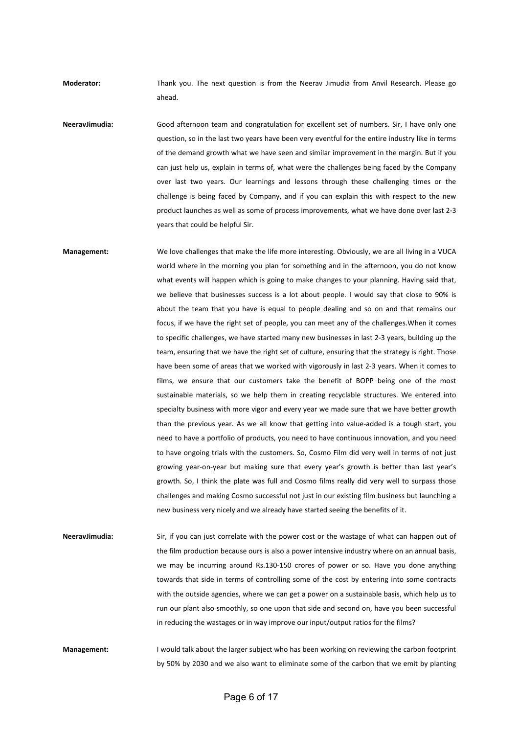Moderator: Thank you. The next question is from the Neerav Jimudia from Anvil Research. Please go ahead.

NeeravJimudia: Good afternoon team and congratulation for excellent set of numbers. Sir, I have only one question, so in the last two years have been very eventful for the entire industry like in terms of the demand growth what we have seen and similar improvement in the margin. But if you can just help us, explain in terms of, what were the challenges being faced by the Company over last two years. Our learnings and lessons through these challenging times or the challenge is being faced by Company, and if you can explain this with respect to the new product launches as well as some of process improvements, what we have done over last 2-3 years that could be helpful Sir.

Management: We love challenges that make the life more interesting. Obviously, we are all living in a VUCA world where in the morning you plan for something and in the afternoon, you do not know what events will happen which is going to make changes to your planning. Having said that, we believe that businesses success is a lot about people. I would say that close to 90% is about the team that you have is equal to people dealing and so on and that remains our focus, if we have the right set of people, you can meet any of the challenges.When it comes to specific challenges, we have started many new businesses in last 2-3 years, building up the team, ensuring that we have the right set of culture, ensuring that the strategy is right. Those have been some of areas that we worked with vigorously in last 2-3 years. When it comes to films, we ensure that our customers take the benefit of BOPP being one of the most sustainable materials, so we help them in creating recyclable structures. We entered into specialty business with more vigor and every year we made sure that we have better growth than the previous year. As we all know that getting into value-added is a tough start, you need to have a portfolio of products, you need to have continuous innovation, and you need to have ongoing trials with the customers. So, Cosmo Film did very well in terms of not just growing year-on-year but making sure that every year's growth is better than last year's growth. So, I think the plate was full and Cosmo films really did very well to surpass those challenges and making Cosmo successful not just in our existing film business but launching a new business very nicely and we already have started seeing the benefits of it.

NeeravJimudia: Sir, if you can just correlate with the power cost or the wastage of what can happen out of the film production because ours is also a power intensive industry where on an annual basis, we may be incurring around Rs.130-150 crores of power or so. Have you done anything towards that side in terms of controlling some of the cost by entering into some contracts with the outside agencies, where we can get a power on a sustainable basis, which help us to run our plant also smoothly, so one upon that side and second on, have you been successful in reducing the wastages or in way improve our input/output ratios for the films?

Management: I would talk about the larger subject who has been working on reviewing the carbon footprint by 50% by 2030 and we also want to eliminate some of the carbon that we emit by planting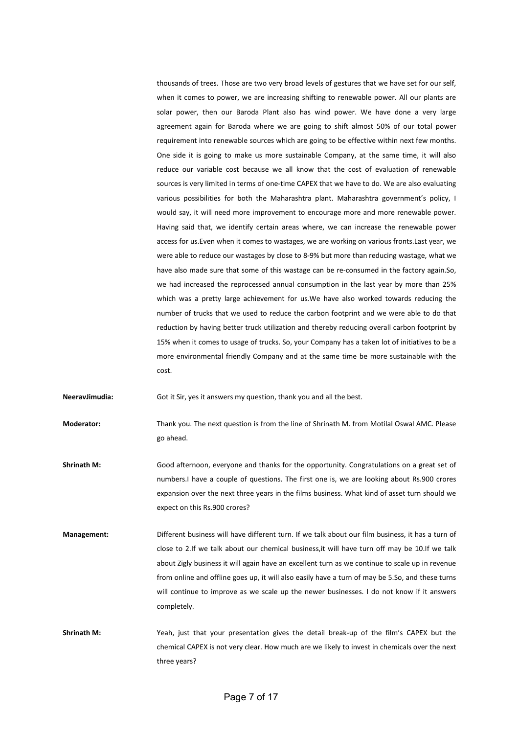thousands of trees. Those are two very broad levels of gestures that we have set for our self, when it comes to power, we are increasing shifting to renewable power. All our plants are solar power, then our Baroda Plant also has wind power. We have done a very large agreement again for Baroda where we are going to shift almost 50% of our total power requirement into renewable sources which are going to be effective within next few months. One side it is going to make us more sustainable Company, at the same time, it will also reduce our variable cost because we all know that the cost of evaluation of renewable sources is very limited in terms of one-time CAPEX that we have to do. We are also evaluating various possibilities for both the Maharashtra plant. Maharashtra government's policy, I would say, it will need more improvement to encourage more and more renewable power. Having said that, we identify certain areas where, we can increase the renewable power access for us.Even when it comes to wastages, we are working on various fronts.Last year, we were able to reduce our wastages by close to 8-9% but more than reducing wastage, what we have also made sure that some of this wastage can be re-consumed in the factory again.So, we had increased the reprocessed annual consumption in the last year by more than 25% which was a pretty large achievement for us.We have also worked towards reducing the number of trucks that we used to reduce the carbon footprint and we were able to do that reduction by having better truck utilization and thereby reducing overall carbon footprint by 15% when it comes to usage of trucks. So, your Company has a taken lot of initiatives to be a more environmental friendly Company and at the same time be more sustainable with the cost.

NeeravJimudia: Got it Sir, yes it answers my question, thank you and all the best.

Moderator: Thank you. The next question is from the line of Shrinath M. from Motilal Oswal AMC. Please go ahead.

- Shrinath M: Good afternoon, everyone and thanks for the opportunity. Congratulations on a great set of numbers.I have a couple of questions. The first one is, we are looking about Rs.900 crores expansion over the next three years in the films business. What kind of asset turn should we expect on this Rs.900 crores?
- Management: Different business will have different turn. If we talk about our film business, it has a turn of close to 2.If we talk about our chemical business,it will have turn off may be 10.If we talk about Zigly business it will again have an excellent turn as we continue to scale up in revenue from online and offline goes up, it will also easily have a turn of may be 5.So, and these turns will continue to improve as we scale up the newer businesses. I do not know if it answers completely.
- Shrinath M: Yeah, just that your presentation gives the detail break-up of the film's CAPEX but the chemical CAPEX is not very clear. How much are we likely to invest in chemicals over the next three years?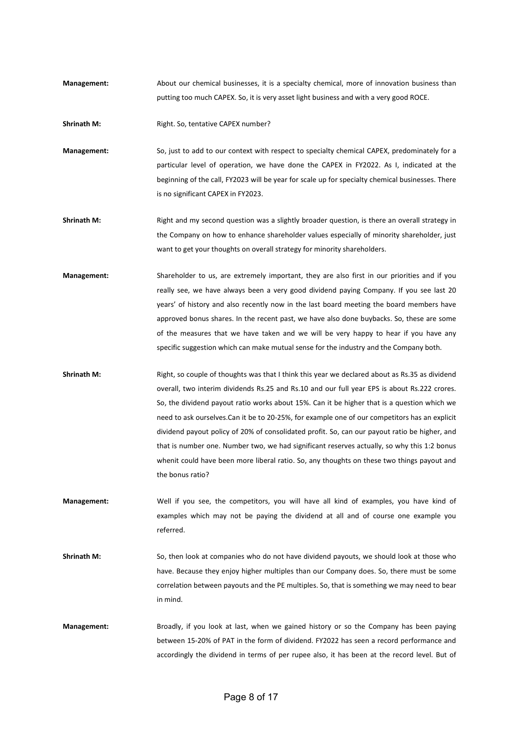Management: About our chemical businesses, it is a specialty chemical, more of innovation business than putting too much CAPEX. So, it is very asset light business and with a very good ROCE.

Shrinath M: Right. So, tentative CAPEX number?

Management: So, just to add to our context with respect to specialty chemical CAPEX, predominately for a particular level of operation, we have done the CAPEX in FY2022. As I, indicated at the beginning of the call, FY2023 will be year for scale up for specialty chemical businesses. There is no significant CAPEX in FY2023.

- Shrinath M: Right and my second question was a slightly broader question, is there an overall strategy in the Company on how to enhance shareholder values especially of minority shareholder, just want to get your thoughts on overall strategy for minority shareholders.
- Management: Shareholder to us, are extremely important, they are also first in our priorities and if you really see, we have always been a very good dividend paying Company. If you see last 20 years' of history and also recently now in the last board meeting the board members have approved bonus shares. In the recent past, we have also done buybacks. So, these are some of the measures that we have taken and we will be very happy to hear if you have any specific suggestion which can make mutual sense for the industry and the Company both.
- Shrinath M: Right, so couple of thoughts was that I think this year we declared about as Rs.35 as dividend overall, two interim dividends Rs.25 and Rs.10 and our full year EPS is about Rs.222 crores. So, the dividend payout ratio works about 15%. Can it be higher that is a question which we need to ask ourselves.Can it be to 20-25%, for example one of our competitors has an explicit dividend payout policy of 20% of consolidated profit. So, can our payout ratio be higher, and that is number one. Number two, we had significant reserves actually, so why this 1:2 bonus whenit could have been more liberal ratio. So, any thoughts on these two things payout and the bonus ratio?
- Management: Well if you see, the competitors, you will have all kind of examples, you have kind of examples which may not be paying the dividend at all and of course one example you referred.
- Shrinath M: So, then look at companies who do not have dividend payouts, we should look at those who have. Because they enjoy higher multiples than our Company does. So, there must be some correlation between payouts and the PE multiples. So, that is something we may need to bear in mind.
- Management: Broadly, if you look at last, when we gained history or so the Company has been paying between 15-20% of PAT in the form of dividend. FY2022 has seen a record performance and accordingly the dividend in terms of per rupee also, it has been at the record level. But of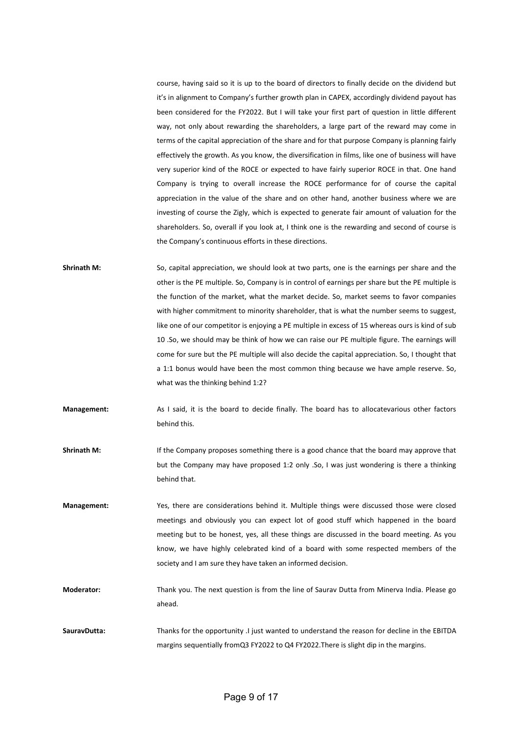course, having said so it is up to the board of directors to finally decide on the dividend but it's in alignment to Company's further growth plan in CAPEX, accordingly dividend payout has been considered for the FY2022. But I will take your first part of question in little different way, not only about rewarding the shareholders, a large part of the reward may come in terms of the capital appreciation of the share and for that purpose Company is planning fairly effectively the growth. As you know, the diversification in films, like one of business will have very superior kind of the ROCE or expected to have fairly superior ROCE in that. One hand Company is trying to overall increase the ROCE performance for of course the capital appreciation in the value of the share and on other hand, another business where we are investing of course the Zigly, which is expected to generate fair amount of valuation for the shareholders. So, overall if you look at, I think one is the rewarding and second of course is the Company's continuous efforts in these directions.

- Shrinath M: So, capital appreciation, we should look at two parts, one is the earnings per share and the other is the PE multiple. So, Company is in control of earnings per share but the PE multiple is the function of the market, what the market decide. So, market seems to favor companies with higher commitment to minority shareholder, that is what the number seems to suggest, like one of our competitor is enjoying a PE multiple in excess of 15 whereas ours is kind of sub 10 .So, we should may be think of how we can raise our PE multiple figure. The earnings will come for sure but the PE multiple will also decide the capital appreciation. So, I thought that a 1:1 bonus would have been the most common thing because we have ample reserve. So, what was the thinking behind 1:2?
- Management: As I said, it is the board to decide finally. The board has to allocatevarious other factors behind this.
- Shrinath M: If the Company proposes something there is a good chance that the board may approve that but the Company may have proposed 1:2 only .So, I was just wondering is there a thinking behind that.
- Management: Yes, there are considerations behind it. Multiple things were discussed those were closed meetings and obviously you can expect lot of good stuff which happened in the board meeting but to be honest, yes, all these things are discussed in the board meeting. As you know, we have highly celebrated kind of a board with some respected members of the society and I am sure they have taken an informed decision.
- Moderator: Thank you. The next question is from the line of Saurav Dutta from Minerva India. Please go ahead.
- SauravDutta: Thanks for the opportunity .I just wanted to understand the reason for decline in the EBITDA margins sequentially fromQ3 FY2022 to Q4 FY2022.There is slight dip in the margins.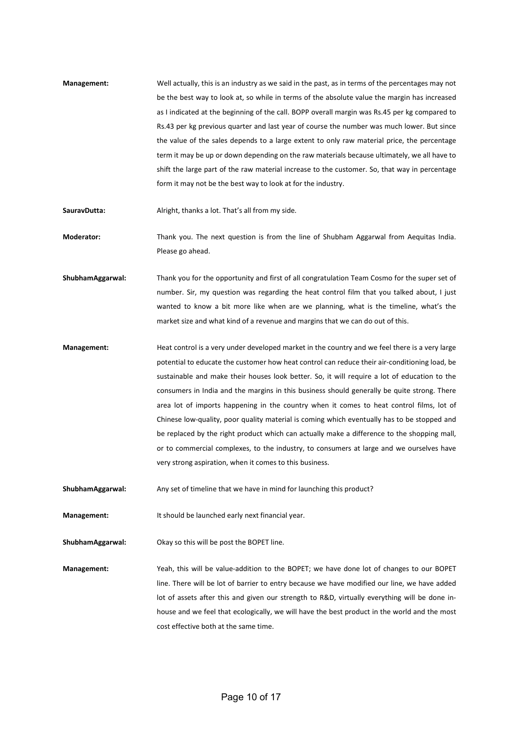- Management: Well actually, this is an industry as we said in the past, as in terms of the percentages may not be the best way to look at, so while in terms of the absolute value the margin has increased as I indicated at the beginning of the call. BOPP overall margin was Rs.45 per kg compared to Rs.43 per kg previous quarter and last year of course the number was much lower. But since the value of the sales depends to a large extent to only raw material price, the percentage term it may be up or down depending on the raw materials because ultimately, we all have to shift the large part of the raw material increase to the customer. So, that way in percentage form it may not be the best way to look at for the industry.
- SauravDutta: Alright, thanks a lot. That's all from my side.

Moderator: Thank you. The next question is from the line of Shubham Aggarwal from Aequitas India. Please go ahead.

- ShubhamAggarwal: Thank you for the opportunity and first of all congratulation Team Cosmo for the super set of number. Sir, my question was regarding the heat control film that you talked about, I just wanted to know a bit more like when are we planning, what is the timeline, what's the market size and what kind of a revenue and margins that we can do out of this.
- Management: Heat control is a very under developed market in the country and we feel there is a very large potential to educate the customer how heat control can reduce their air-conditioning load, be sustainable and make their houses look better. So, it will require a lot of education to the consumers in India and the margins in this business should generally be quite strong. There area lot of imports happening in the country when it comes to heat control films, lot of Chinese low-quality, poor quality material is coming which eventually has to be stopped and be replaced by the right product which can actually make a difference to the shopping mall, or to commercial complexes, to the industry, to consumers at large and we ourselves have very strong aspiration, when it comes to this business.
- ShubhamAggarwal: Any set of timeline that we have in mind for launching this product?

Management: It should be launched early next financial year.

ShubhamAggarwal: Okay so this will be post the BOPET line.

Management: Yeah, this will be value-addition to the BOPET; we have done lot of changes to our BOPET line. There will be lot of barrier to entry because we have modified our line, we have added lot of assets after this and given our strength to R&D, virtually everything will be done inhouse and we feel that ecologically, we will have the best product in the world and the most cost effective both at the same time.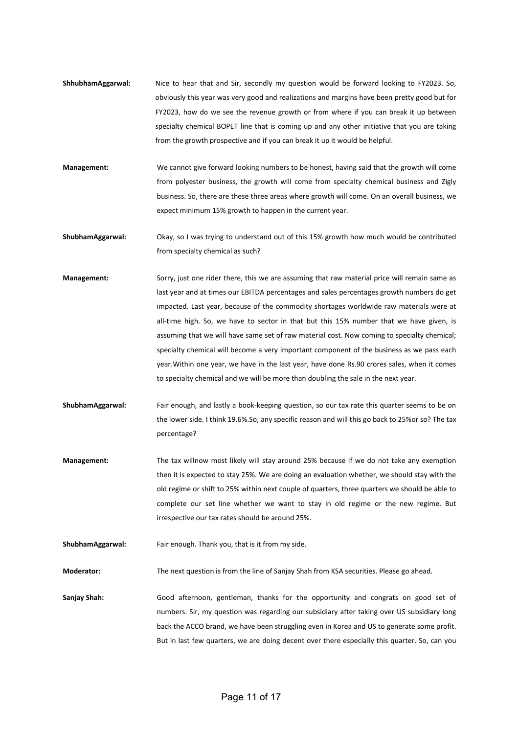- ShhubhamAggarwal: Nice to hear that and Sir, secondly my question would be forward looking to FY2023. So, obviously this year was very good and realizations and margins have been pretty good but for FY2023, how do we see the revenue growth or from where if you can break it up between specialty chemical BOPET line that is coming up and any other initiative that you are taking from the growth prospective and if you can break it up it would be helpful.
- Management: We cannot give forward looking numbers to be honest, having said that the growth will come from polyester business, the growth will come from specialty chemical business and Zigly business. So, there are these three areas where growth will come. On an overall business, we expect minimum 15% growth to happen in the current year.
- ShubhamAggarwal: Okay, so I was trying to understand out of this 15% growth how much would be contributed from specialty chemical as such?
- Management: Sorry, just one rider there, this we are assuming that raw material price will remain same as last year and at times our EBITDA percentages and sales percentages growth numbers do get impacted. Last year, because of the commodity shortages worldwide raw materials were at all-time high. So, we have to sector in that but this 15% number that we have given, is assuming that we will have same set of raw material cost. Now coming to specialty chemical; specialty chemical will become a very important component of the business as we pass each year.Within one year, we have in the last year, have done Rs.90 crores sales, when it comes to specialty chemical and we will be more than doubling the sale in the next year.
- ShubhamAggarwal: Fair enough, and lastly a book-keeping question, so our tax rate this quarter seems to be on the lower side. I think 19.6%.So, any specific reason and will this go back to 25%or so? The tax percentage?
- Management: The tax willnow most likely will stay around 25% because if we do not take any exemption then it is expected to stay 25%. We are doing an evaluation whether, we should stay with the old regime or shift to 25% within next couple of quarters, three quarters we should be able to complete our set line whether we want to stay in old regime or the new regime. But irrespective our tax rates should be around 25%.

ShubhamAggarwal: Fair enough. Thank you, that is it from my side.

Moderator: The next question is from the line of Sanjay Shah from KSA securities. Please go ahead.

Saniay Shah: Good afternoon, gentleman, thanks for the opportunity and congrats on good set of numbers. Sir, my question was regarding our subsidiary after taking over US subsidiary long back the ACCO brand, we have been struggling even in Korea and US to generate some profit. But in last few quarters, we are doing decent over there especially this quarter. So, can you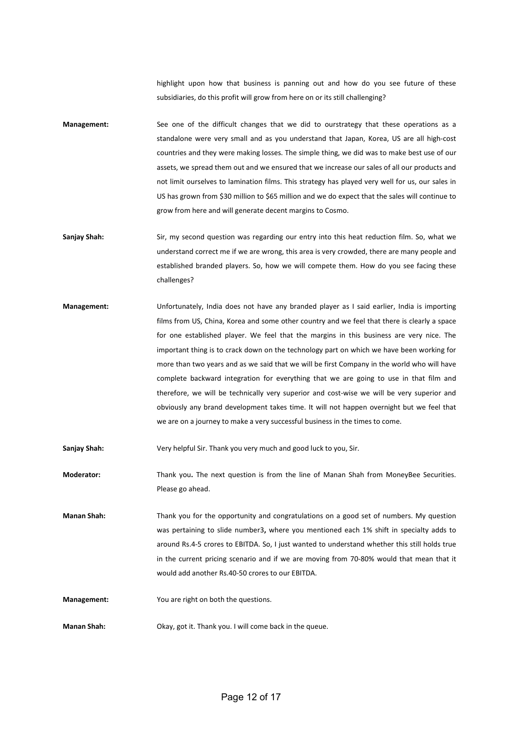highlight upon how that business is panning out and how do you see future of these subsidiaries, do this profit will grow from here on or its still challenging?

- Management: See one of the difficult changes that we did to ourstrategy that these operations as a standalone were very small and as you understand that Japan, Korea, US are all high-cost countries and they were making losses. The simple thing, we did was to make best use of our assets, we spread them out and we ensured that we increase our sales of all our products and not limit ourselves to lamination films. This strategy has played very well for us, our sales in US has grown from \$30 million to \$65 million and we do expect that the sales will continue to grow from here and will generate decent margins to Cosmo.
- Sanjay Shah: Sir, my second question was regarding our entry into this heat reduction film. So, what we understand correct me if we are wrong, this area is very crowded, there are many people and established branded players. So, how we will compete them. How do you see facing these challenges?
- Management: Unfortunately, India does not have any branded player as I said earlier, India is importing films from US, China, Korea and some other country and we feel that there is clearly a space for one established player. We feel that the margins in this business are very nice. The important thing is to crack down on the technology part on which we have been working for more than two years and as we said that we will be first Company in the world who will have complete backward integration for everything that we are going to use in that film and therefore, we will be technically very superior and cost-wise we will be very superior and obviously any brand development takes time. It will not happen overnight but we feel that we are on a journey to make a very successful business in the times to come.

Sanjay Shah: Very helpful Sir. Thank you very much and good luck to you, Sir.

Moderator: Thank you. The next question is from the line of Manan Shah from MoneyBee Securities. Please go ahead.

Manan Shah: Thank you for the opportunity and congratulations on a good set of numbers. My question was pertaining to slide number3, where you mentioned each 1% shift in specialty adds to around Rs.4-5 crores to EBITDA. So, I just wanted to understand whether this still holds true in the current pricing scenario and if we are moving from 70-80% would that mean that it would add another Rs.40-50 crores to our EBITDA.

Management: You are right on both the questions.

Manan Shah: Okay, got it. Thank you. I will come back in the queue.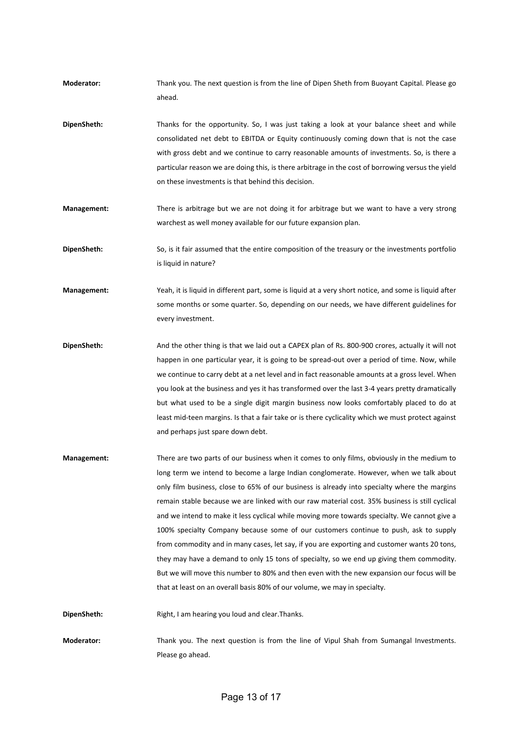- Moderator: Thank you. The next question is from the line of Dipen Sheth from Buoyant Capital. Please go ahead.
- DipenSheth: Thanks for the opportunity. So, I was just taking a look at your balance sheet and while consolidated net debt to EBITDA or Equity continuously coming down that is not the case with gross debt and we continue to carry reasonable amounts of investments. So, is there a particular reason we are doing this, is there arbitrage in the cost of borrowing versus the yield on these investments is that behind this decision.
- Management: There is arbitrage but we are not doing it for arbitrage but we want to have a very strong warchest as well money available for our future expansion plan.

DipenSheth: So, is it fair assumed that the entire composition of the treasury or the investments portfolio is liquid in nature?

- Management: Yeah, it is liquid in different part, some is liquid at a very short notice, and some is liquid after some months or some quarter. So, depending on our needs, we have different guidelines for every investment.
- DipenSheth: And the other thing is that we laid out a CAPEX plan of Rs. 800-900 crores, actually it will not happen in one particular year, it is going to be spread-out over a period of time. Now, while we continue to carry debt at a net level and in fact reasonable amounts at a gross level. When you look at the business and yes it has transformed over the last 3-4 years pretty dramatically but what used to be a single digit margin business now looks comfortably placed to do at least mid-teen margins. Is that a fair take or is there cyclicality which we must protect against and perhaps just spare down debt.
- Management: There are two parts of our business when it comes to only films, obviously in the medium to long term we intend to become a large Indian conglomerate. However, when we talk about only film business, close to 65% of our business is already into specialty where the margins remain stable because we are linked with our raw material cost. 35% business is still cyclical and we intend to make it less cyclical while moving more towards specialty. We cannot give a 100% specialty Company because some of our customers continue to push, ask to supply from commodity and in many cases, let say, if you are exporting and customer wants 20 tons, they may have a demand to only 15 tons of specialty, so we end up giving them commodity. But we will move this number to 80% and then even with the new expansion our focus will be that at least on an overall basis 80% of our volume, we may in specialty.

DipenSheth: Right, I am hearing you loud and clear.Thanks.

Moderator: Thank you. The next question is from the line of Vipul Shah from Sumangal Investments. Please go ahead.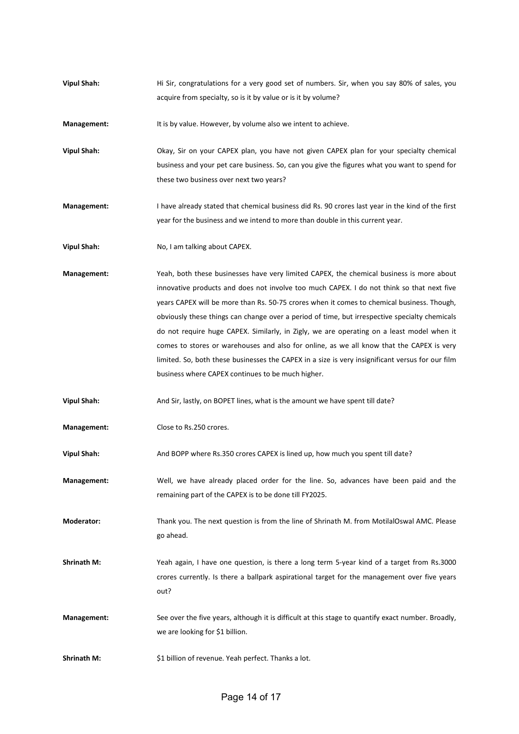Vipul Shah: Hi Sir, congratulations for a very good set of numbers. Sir, when you say 80% of sales, you acquire from specialty, so is it by value or is it by volume?

Management: It is by value. However, by volume also we intent to achieve.

Vipul Shah: Okay, Sir on your CAPEX plan, you have not given CAPEX plan for your specialty chemical business and your pet care business. So, can you give the figures what you want to spend for these two business over next two years?

Management: I have already stated that chemical business did Rs. 90 crores last year in the kind of the first year for the business and we intend to more than double in this current year.

Vipul Shah: No, I am talking about CAPEX.

Management: Yeah, both these businesses have very limited CAPEX, the chemical business is more about innovative products and does not involve too much CAPEX. I do not think so that next five years CAPEX will be more than Rs. 50-75 crores when it comes to chemical business. Though, obviously these things can change over a period of time, but irrespective specialty chemicals do not require huge CAPEX. Similarly, in Zigly, we are operating on a least model when it comes to stores or warehouses and also for online, as we all know that the CAPEX is very limited. So, both these businesses the CAPEX in a size is very insignificant versus for our film business where CAPEX continues to be much higher.

Vipul Shah: And Sir, lastly, on BOPET lines, what is the amount we have spent till date?

Management: Close to Rs.250 crores.

Vipul Shah: And BOPP where Rs.350 crores CAPEX is lined up, how much you spent till date?

Management: Well, we have already placed order for the line. So, advances have been paid and the remaining part of the CAPEX is to be done till FY2025.

Moderator: Thank you. The next question is from the line of Shrinath M. from MotilalOswal AMC. Please go ahead.

Shrinath M: Yeah again, I have one question, is there a long term 5-year kind of a target from Rs.3000 crores currently. Is there a ballpark aspirational target for the management over five years out?

Management: See over the five years, although it is difficult at this stage to quantify exact number. Broadly, we are looking for \$1 billion.

Shrinath M:  $\frac{1}{2}$  S1 billion of revenue. Yeah perfect. Thanks a lot.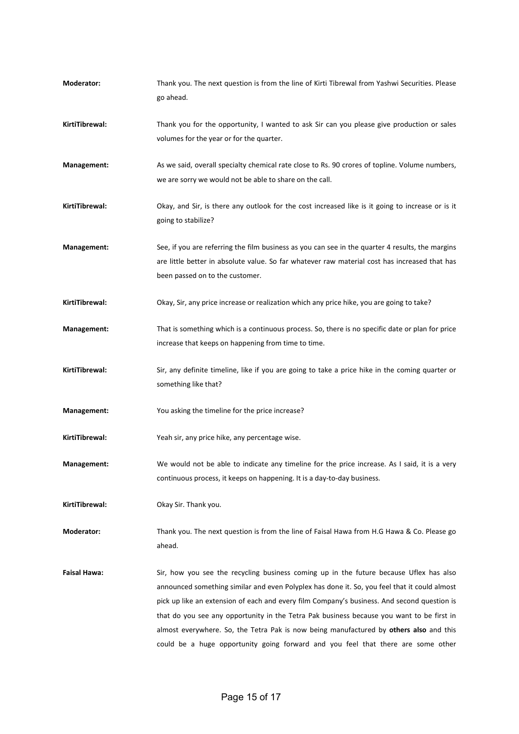| Moderator:          | Thank you. The next question is from the line of Kirti Tibrewal from Yashwi Securities. Please<br>go ahead.                                                                                                                                                                                                                                                                                                                                                                                                                                                      |
|---------------------|------------------------------------------------------------------------------------------------------------------------------------------------------------------------------------------------------------------------------------------------------------------------------------------------------------------------------------------------------------------------------------------------------------------------------------------------------------------------------------------------------------------------------------------------------------------|
| KirtiTibrewal:      | Thank you for the opportunity, I wanted to ask Sir can you please give production or sales<br>volumes for the year or for the quarter.                                                                                                                                                                                                                                                                                                                                                                                                                           |
| Management:         | As we said, overall specialty chemical rate close to Rs. 90 crores of topline. Volume numbers,<br>we are sorry we would not be able to share on the call.                                                                                                                                                                                                                                                                                                                                                                                                        |
| KirtiTibrewal:      | Okay, and Sir, is there any outlook for the cost increased like is it going to increase or is it<br>going to stabilize?                                                                                                                                                                                                                                                                                                                                                                                                                                          |
| Management:         | See, if you are referring the film business as you can see in the quarter 4 results, the margins<br>are little better in absolute value. So far whatever raw material cost has increased that has<br>been passed on to the customer.                                                                                                                                                                                                                                                                                                                             |
| KirtiTibrewal:      | Okay, Sir, any price increase or realization which any price hike, you are going to take?                                                                                                                                                                                                                                                                                                                                                                                                                                                                        |
| Management:         | That is something which is a continuous process. So, there is no specific date or plan for price<br>increase that keeps on happening from time to time.                                                                                                                                                                                                                                                                                                                                                                                                          |
| KirtiTibrewal:      | Sir, any definite timeline, like if you are going to take a price hike in the coming quarter or<br>something like that?                                                                                                                                                                                                                                                                                                                                                                                                                                          |
| Management:         | You asking the timeline for the price increase?                                                                                                                                                                                                                                                                                                                                                                                                                                                                                                                  |
| KirtiTibrewal:      | Yeah sir, any price hike, any percentage wise.                                                                                                                                                                                                                                                                                                                                                                                                                                                                                                                   |
| <b>Management:</b>  | We would not be able to indicate any timeline for the price increase. As I said, it is a very<br>continuous process, it keeps on happening. It is a day-to-day business.                                                                                                                                                                                                                                                                                                                                                                                         |
| KirtiTibrewal:      | Okay Sir. Thank you.                                                                                                                                                                                                                                                                                                                                                                                                                                                                                                                                             |
| Moderator:          | Thank you. The next question is from the line of Faisal Hawa from H.G Hawa & Co. Please go<br>ahead.                                                                                                                                                                                                                                                                                                                                                                                                                                                             |
| <b>Faisal Hawa:</b> | Sir, how you see the recycling business coming up in the future because Uflex has also<br>announced something similar and even Polyplex has done it. So, you feel that it could almost<br>pick up like an extension of each and every film Company's business. And second question is<br>that do you see any opportunity in the Tetra Pak business because you want to be first in<br>almost everywhere. So, the Tetra Pak is now being manufactured by others also and this<br>could be a huge opportunity going forward and you feel that there are some other |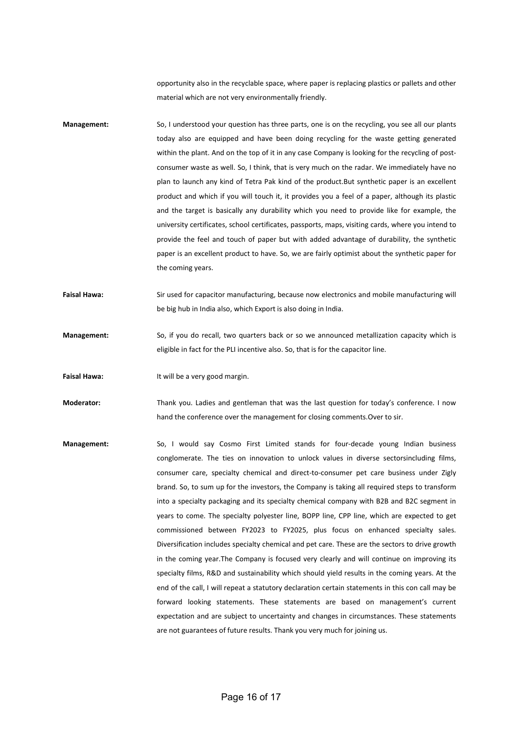opportunity also in the recyclable space, where paper is replacing plastics or pallets and other material which are not very environmentally friendly.

- Management: So, I understood your question has three parts, one is on the recycling, you see all our plants today also are equipped and have been doing recycling for the waste getting generated within the plant. And on the top of it in any case Company is looking for the recycling of postconsumer waste as well. So, I think, that is very much on the radar. We immediately have no plan to launch any kind of Tetra Pak kind of the product.But synthetic paper is an excellent product and which if you will touch it, it provides you a feel of a paper, although its plastic and the target is basically any durability which you need to provide like for example, the university certificates, school certificates, passports, maps, visiting cards, where you intend to provide the feel and touch of paper but with added advantage of durability, the synthetic paper is an excellent product to have. So, we are fairly optimist about the synthetic paper for the coming years.
- Faisal Hawa: Sir used for capacitor manufacturing, because now electronics and mobile manufacturing will be big hub in India also, which Export is also doing in India.
- Management: So, if you do recall, two quarters back or so we announced metallization capacity which is eligible in fact for the PLI incentive also. So, that is for the capacitor line.
- Faisal Hawa: It will be a very good margin.
- Moderator: Thank you. Ladies and gentleman that was the last question for today's conference. I now hand the conference over the management for closing comments.Over to sir.
- Management: So, I would say Cosmo First Limited stands for four-decade young Indian business conglomerate. The ties on innovation to unlock values in diverse sectorsincluding films, consumer care, specialty chemical and direct-to-consumer pet care business under Zigly brand. So, to sum up for the investors, the Company is taking all required steps to transform into a specialty packaging and its specialty chemical company with B2B and B2C segment in years to come. The specialty polyester line, BOPP line, CPP line, which are expected to get commissioned between FY2023 to FY2025, plus focus on enhanced specialty sales. Diversification includes specialty chemical and pet care. These are the sectors to drive growth in the coming year.The Company is focused very clearly and will continue on improving its specialty films, R&D and sustainability which should yield results in the coming years. At the end of the call, I will repeat a statutory declaration certain statements in this con call may be forward looking statements. These statements are based on management's current expectation and are subject to uncertainty and changes in circumstances. These statements are not guarantees of future results. Thank you very much for joining us.